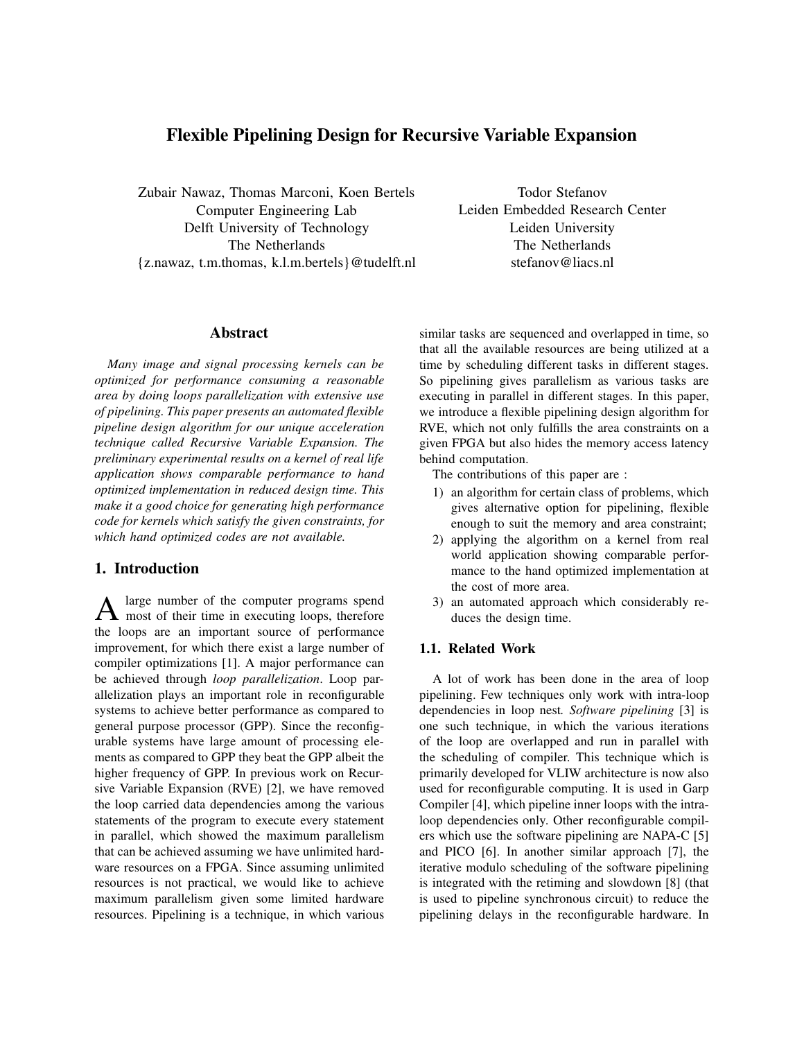# **Flexible Pipelining Design for Recursive Variable Expansion**

Zubair Nawaz, Thomas Marconi, Koen Bertels Computer Engineering Lab Delft University of Technology The Netherlands {z.nawaz, t.m.thomas, k.l.m.bertels}@tudelft.nl

Todor Stefanov Leiden Embedded Research Center Leiden University The Netherlands stefanov@liacs.nl

#### **Abstract**

*Many image and signal processing kernels can be optimized for performance consuming a reasonable area by doing loops parallelization with extensive use of pipelining. This paper presents an automated flexible pipeline design algorithm for our unique acceleration technique called Recursive Variable Expansion. The preliminary experimental results on a kernel of real life application shows comparable performance to hand optimized implementation in reduced design time. This make it a good choice for generating high performance code for kernels which satisfy the given constraints, for which hand optimized codes are not available.*

## **1. Introduction**

A large number of the computer programs spend<br>most of their time in executing loops, therefore large number of the computer programs spend the loops are an important source of performance improvement, for which there exist a large number of compiler optimizations [1]. A major performance can be achieved through *loop parallelization*. Loop parallelization plays an important role in reconfigurable systems to achieve better performance as compared to general purpose processor (GPP). Since the reconfigurable systems have large amount of processing elements as compared to GPP they beat the GPP albeit the higher frequency of GPP. In previous work on Recursive Variable Expansion (RVE) [2], we have removed the loop carried data dependencies among the various statements of the program to execute every statement in parallel, which showed the maximum parallelism that can be achieved assuming we have unlimited hardware resources on a FPGA. Since assuming unlimited resources is not practical, we would like to achieve maximum parallelism given some limited hardware resources. Pipelining is a technique, in which various similar tasks are sequenced and overlapped in time, so that all the available resources are being utilized at a time by scheduling different tasks in different stages. So pipelining gives parallelism as various tasks are executing in parallel in different stages. In this paper, we introduce a flexible pipelining design algorithm for RVE, which not only fulfills the area constraints on a given FPGA but also hides the memory access latency behind computation.

The contributions of this paper are :

- 1) an algorithm for certain class of problems, which gives alternative option for pipelining, flexible enough to suit the memory and area constraint;
- 2) applying the algorithm on a kernel from real world application showing comparable performance to the hand optimized implementation at the cost of more area.
- 3) an automated approach which considerably reduces the design time.

### **1.1. Related Work**

A lot of work has been done in the area of loop pipelining. Few techniques only work with intra-loop dependencies in loop nest*. Software pipelining* [3] is one such technique, in which the various iterations of the loop are overlapped and run in parallel with the scheduling of compiler. This technique which is primarily developed for VLIW architecture is now also used for reconfigurable computing. It is used in Garp Compiler [4], which pipeline inner loops with the intraloop dependencies only. Other reconfigurable compilers which use the software pipelining are NAPA-C [5] and PICO [6]. In another similar approach [7], the iterative modulo scheduling of the software pipelining is integrated with the retiming and slowdown [8] (that is used to pipeline synchronous circuit) to reduce the pipelining delays in the reconfigurable hardware. In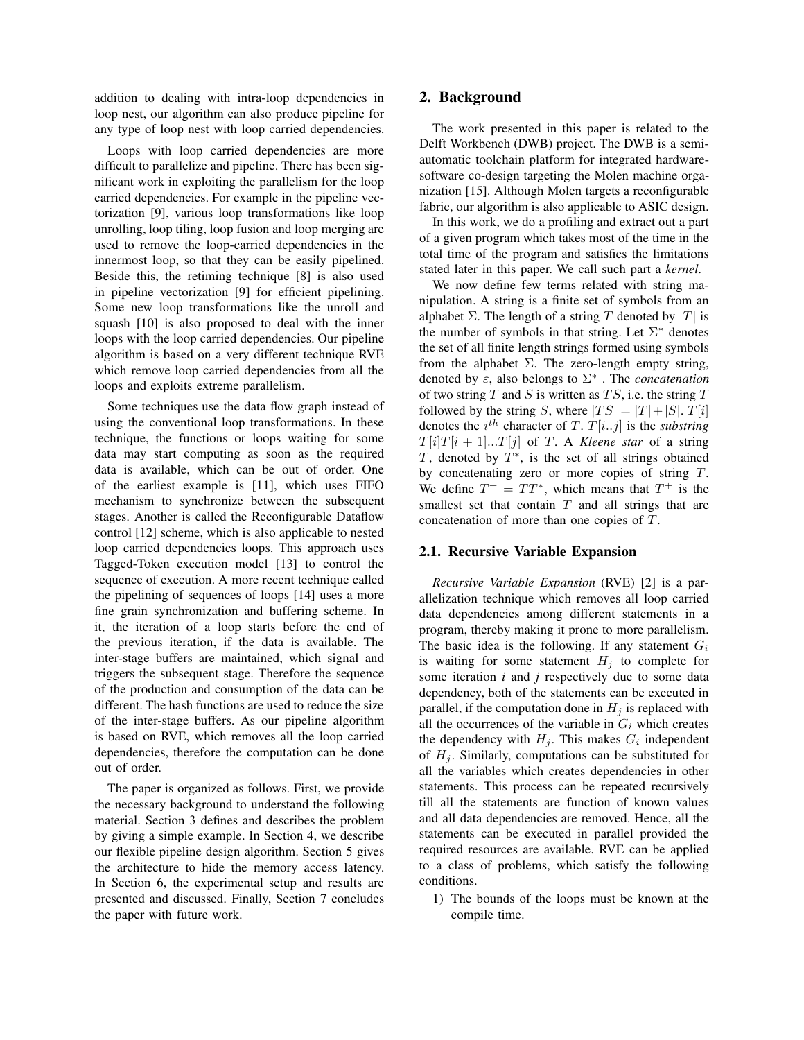addition to dealing with intra-loop dependencies in loop nest, our algorithm can also produce pipeline for any type of loop nest with loop carried dependencies.

Loops with loop carried dependencies are more difficult to parallelize and pipeline. There has been significant work in exploiting the parallelism for the loop carried dependencies. For example in the pipeline vectorization [9], various loop transformations like loop unrolling, loop tiling, loop fusion and loop merging are used to remove the loop-carried dependencies in the innermost loop, so that they can be easily pipelined. Beside this, the retiming technique [8] is also used in pipeline vectorization [9] for efficient pipelining. Some new loop transformations like the unroll and squash [10] is also proposed to deal with the inner loops with the loop carried dependencies. Our pipeline algorithm is based on a very different technique RVE which remove loop carried dependencies from all the loops and exploits extreme parallelism.

Some techniques use the data flow graph instead of using the conventional loop transformations. In these technique, the functions or loops waiting for some data may start computing as soon as the required data is available, which can be out of order. One of the earliest example is [11], which uses FIFO mechanism to synchronize between the subsequent stages. Another is called the Reconfigurable Dataflow control [12] scheme, which is also applicable to nested loop carried dependencies loops. This approach uses Tagged-Token execution model [13] to control the sequence of execution. A more recent technique called the pipelining of sequences of loops [14] uses a more fine grain synchronization and buffering scheme. In it, the iteration of a loop starts before the end of the previous iteration, if the data is available. The inter-stage buffers are maintained, which signal and triggers the subsequent stage. Therefore the sequence of the production and consumption of the data can be different. The hash functions are used to reduce the size of the inter-stage buffers. As our pipeline algorithm is based on RVE, which removes all the loop carried dependencies, therefore the computation can be done out of order.

The paper is organized as follows. First, we provide the necessary background to understand the following material. Section 3 defines and describes the problem by giving a simple example. In Section 4, we describe our flexible pipeline design algorithm. Section 5 gives the architecture to hide the memory access latency. In Section 6, the experimental setup and results are presented and discussed. Finally, Section 7 concludes the paper with future work.

## **2. Background**

The work presented in this paper is related to the Delft Workbench (DWB) project. The DWB is a semiautomatic toolchain platform for integrated hardwaresoftware co-design targeting the Molen machine organization [15]. Although Molen targets a reconfigurable fabric, our algorithm is also applicable to ASIC design.

In this work, we do a profiling and extract out a part of a given program which takes most of the time in the total time of the program and satisfies the limitations stated later in this paper. We call such part a *kernel*.

We now define few terms related with string manipulation. A string is a finite set of symbols from an alphabet  $\Sigma$ . The length of a string T denoted by  $|T|$  is the number of symbols in that string. Let  $\Sigma^*$  denotes the set of all finite length strings formed using symbols from the alphabet  $\Sigma$ . The zero-length empty string, denoted by  $\varepsilon$ , also belongs to  $\Sigma^*$ . The *concatenation* of two string T and S is written as  $TS$ , i.e. the string T followed by the string S, where  $|TS| = |T| + |S|$ .  $T[i]$ denotes the  $i^{th}$  character of T.  $T[i..j]$  is the *substring*  $T[i]T[i+1]...T[i]$  of T. A *Kleene star* of a string T, denoted by  $T^*$ , is the set of all strings obtained by concatenating zero or more copies of string  $T$ . We define  $T^+ = TT^*$ , which means that  $T^+$  is the smallest set that contain  $T$  and all strings that are concatenation of more than one copies of  $T$ .

#### **2.1. Recursive Variable Expansion**

*Recursive Variable Expansion* (RVE) [2] is a parallelization technique which removes all loop carried data dependencies among different statements in a program, thereby making it prone to more parallelism. The basic idea is the following. If any statement  $G_i$ is waiting for some statement  $H_j$  to complete for some iteration *i* and *j* respectively due to some data dependency, both of the statements can be executed in parallel, if the computation done in  $H_i$  is replaced with all the occurrences of the variable in  $G_i$  which creates the dependency with  $H_j$ . This makes  $G_i$  independent of  $H_i$ . Similarly, computations can be substituted for all the variables which creates dependencies in other statements. This process can be repeated recursively till all the statements are function of known values and all data dependencies are removed. Hence, all the statements can be executed in parallel provided the required resources are available. RVE can be applied to a class of problems, which satisfy the following conditions.

1) The bounds of the loops must be known at the compile time.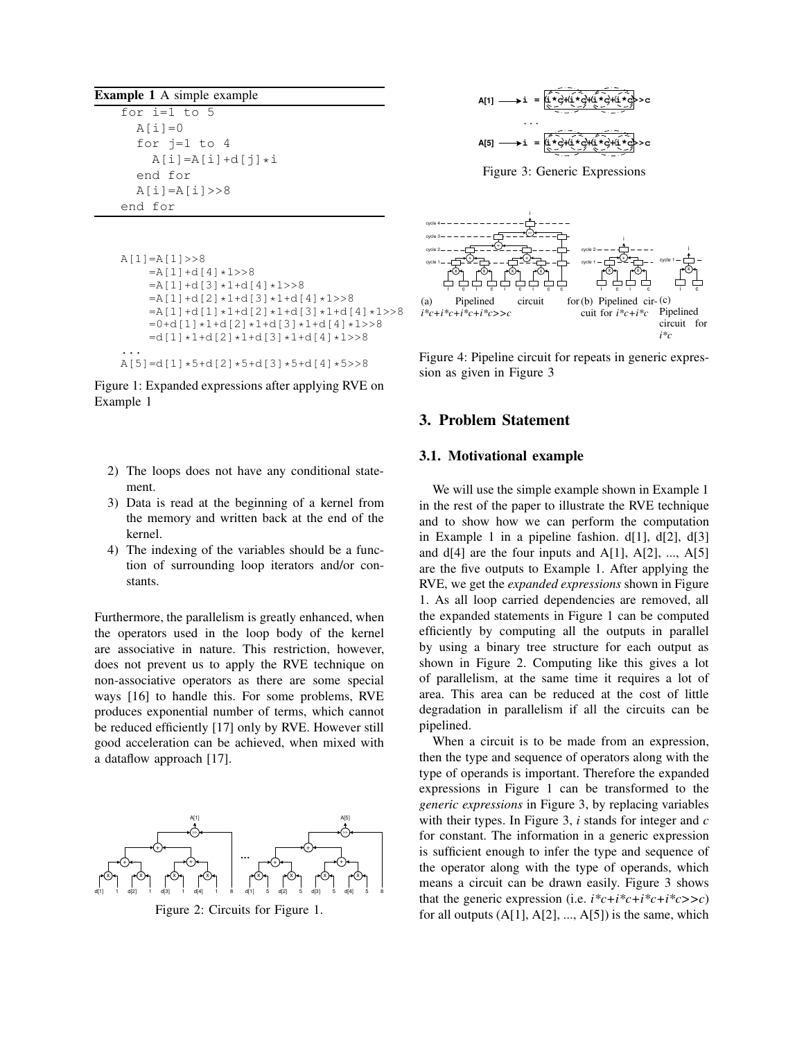**Example 1** A simple example

| for $i=1$ to 5     |
|--------------------|
| $A[i]=0$           |
| for $i=1$ to 4     |
| $A[i]=A[i]+d[i]*i$ |
| end for            |
| $A[i] = A[i] >> 8$ |
| end for            |

```
A[1]=A[1]>>8
    =A[1]+d[4]*1>>8
   =A[1]+d[3]*1+d[4]*1>>8=A[1]+d[2]*1+d[3]*1+d[4]*1>>8=A[1]+d[1]*1+d[2]*1+d[3]*1+d[4]*1>>8=0+ d[1]*1+d[2]*1+d[3]*1+d[4]*1>>8=d[1]*1+d[2]*1+d[3]*1+d[4]*1>>8...
```
 $A[5]=d[1]*5+d[2]*5+d[3]*5+d[4]*5>>8$ 

Figure 1: Expanded expressions after applying RVE on Example 1

- 2) The loops does not have any conditional statement.
- 3) Data is read at the beginning of a kernel from the memory and written back at the end of the kernel.
- 4) The indexing of the variables should be a function of surrounding loop iterators and/or constants.

Furthermore, the parallelism is greatly enhanced, when the operators used in the loop body of the kernel are associative in nature. This restriction, however, does not prevent us to apply the RVE technique on non-associative operators as there are some special ways [16] to handle this. For some problems, RVE produces exponential number of terms, which cannot be reduced efficiently [17] only by RVE. However still good acceleration can be achieved, when mixed with a dataflow approach [17].



Figure 2: Circuits for Figure 1.



Figure 3: Generic Expressions



Figure 4: Pipeline circuit for repeats in generic expression as given in Figure 3

## **3. Problem Statement**

#### **3.1. Motivational example**

We will use the simple example shown in Example 1 in the rest of the paper to illustrate the RVE technique and to show how we can perform the computation in Example 1 in a pipeline fashion.  $d[1]$ ,  $d[2]$ ,  $d[3]$ and  $d[4]$  are the four inputs and  $A[1]$ ,  $A[2]$ , ...,  $A[5]$ are the five outputs to Example 1. After applying the RVE, we get the *expanded expressions* shown in Figure 1. As all loop carried dependencies are removed, all the expanded statements in Figure 1 can be computed efficiently by computing all the outputs in parallel by using a binary tree structure for each output as shown in Figure 2. Computing like this gives a lot of parallelism, at the same time it requires a lot of area. This area can be reduced at the cost of little degradation in parallelism if all the circuits can be pipelined.

When a circuit is to be made from an expression, then the type and sequence of operators along with the type of operands is important. Therefore the expanded expressions in Figure 1 can be transformed to the *generic expressions* in Figure 3, by replacing variables with their types. In Figure 3, *i* stands for integer and *c* for constant. The information in a generic expression is sufficient enough to infer the type and sequence of the operator along with the type of operands, which means a circuit can be drawn easily. Figure 3 shows that the generic expression (i.e.  $i^*c + i^*c + i^*c + i^*c \geq c$ ) for all outputs  $(A[1], A[2], ..., A[5])$  is the same, which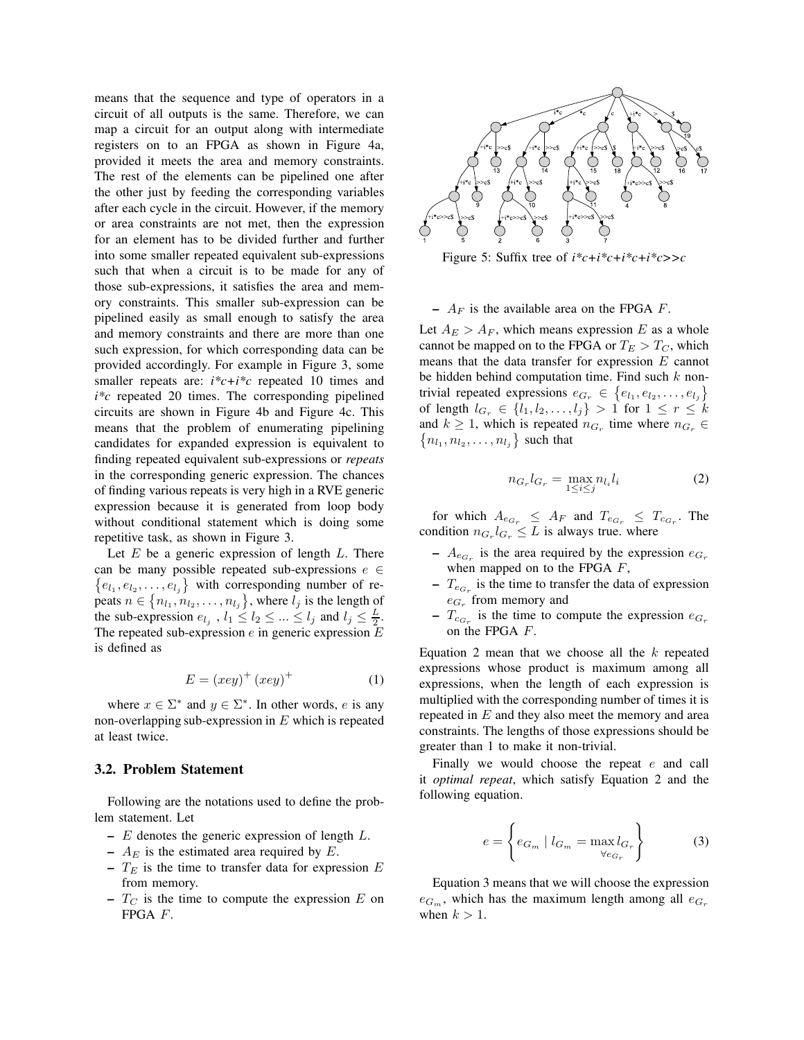means that the sequence and type of operators in a circuit of all outputs is the same. Therefore, we can map a circuit for an output along with intermediate registers on to an FPGA as shown in Figure 4a, provided it meets the area and memory constraints. The rest of the elements can be pipelined one after the other just by feeding the corresponding variables after each cycle in the circuit. However, if the memory or area constraints are not met, then the expression for an element has to be divided further and further into some smaller repeated equivalent sub-expressions such that when a circuit is to be made for any of those sub-expressions, it satisfies the area and memory constraints. This smaller sub-expression can be pipelined easily as small enough to satisfy the area and memory constraints and there are more than one such expression, for which corresponding data can be provided accordingly. For example in Figure 3, some smaller repeats are: *i\*c+i\*c* repeated 10 times and *i\*c* repeated 20 times. The corresponding pipelined circuits are shown in Figure 4b and Figure 4c. This means that the problem of enumerating pipelining candidates for expanded expression is equivalent to finding repeated equivalent sub-expressions or *repeats* in the corresponding generic expression. The chances of finding various repeats is very high in a RVE generic expression because it is generated from loop body without conditional statement which is doing some repetitive task, as shown in Figure 3.

Let  $E$  be a generic expression of length  $L$ . There can be many possible repeated sub-expressions  $e \in$  $\{e_{l_1}, e_{l_2}, \ldots, e_{l_j}\}\$  with corresponding number of repeats  $n \in \{n_{l_1}, n_{l_2}, \ldots, n_{l_j}\}$ , where  $l_j$  is the length of the sub-expression  $e_{l_j}$ ,  $l_1 \leq l_2 \leq ... \leq l_j$  and  $l_j \leq \frac{L}{2}$ . The repeated sub-expression  $e$  in generic expression  $E$ is defined as

$$
E = (xey)^{+} (xey)^{+}
$$
 (1)

where  $x \in \Sigma^*$  and  $y \in \Sigma^*$ . In other words, e is any non-overlapping sub-expression in  $E$  which is repeated at least twice.

#### **3.2. Problem Statement**

Following are the notations used to define the problem statement. Let

- **–** E denotes the generic expression of length L.
- $A_E$  is the estimated area required by  $E$ .
- $T_E$  is the time to transfer data for expression  $E$ from memory.
- $-T_C$  is the time to compute the expression  $E$  on FPGA F.



Figure 5: Suffix tree of *i\*c+i\*c+i\*c+i\*c>>c*

 $A_F$  is the available area on the FPGA  $F$ .

Let  $A_E > A_F$ , which means expression E as a whole cannot be mapped on to the FPGA or  $T_E > T_C$ , which means that the data transfer for expression  $E$  cannot be hidden behind computation time. Find such  $k$  nontrivial repeated expressions  $e_{G_r} \in \{e_{l_1}, e_{l_2}, \ldots, e_{l_j}\}\$ of length  $l_{G_r} \in \{l_1, l_2, ..., l_j\} > 1$  for  $1 \leq r \leq k$ and  $k \geq 1$ , which is repeated  $n_{G_r}$  time where  $n_{G_r} \in$  $\{n_{l_1}, n_{l_2}, \ldots, n_{l_j}\}\,$  such that

$$
n_{G_r} l_{G_r} = \max_{1 \le i \le j} n_{l_i} l_i \tag{2}
$$

for which  $A_{e_{G_r}} \leq A_F$  and  $T_{e_{G_r}} \leq T_{c_{G_r}}$ . The condition  $n_{G_r} l_{G_r} \leq L$  is always true. where

- $A_{e_{G_r}}$  is the area required by the expression  $e_{G_r}$ when mapped on to the FPGA  $F$ ,
- $T_{e_{G_r}}$  is the time to transfer the data of expression  $e_{G_r}$  from memory and
- $T_{c_{G_r}}$  is the time to compute the expression  $e_{G_r}$ on the FPGA F.

Equation 2 mean that we choose all the  $k$  repeated expressions whose product is maximum among all expressions, when the length of each expression is multiplied with the corresponding number of times it is repeated in  $E$  and they also meet the memory and area constraints. The lengths of those expressions should be greater than 1 to make it non-trivial.

Finally we would choose the repeat  $e$  and call it *optimal repeat*, which satisfy Equation 2 and the following equation.

$$
e = \left\{ e_{G_m} \mid l_{G_m} = \max_{\forall e_{G_r}} l_{G_r} \right\} \tag{3}
$$

Equation 3 means that we will choose the expression  $e_{G_m}$ , which has the maximum length among all  $e_{G_r}$ when  $k > 1$ .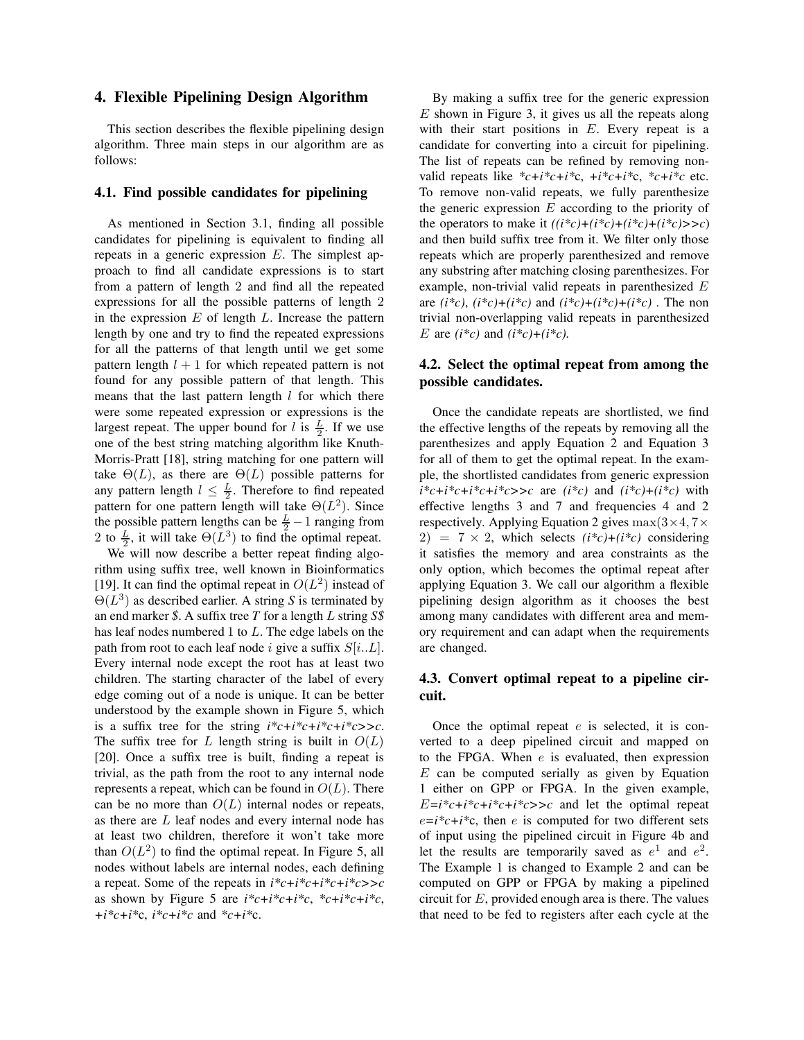### **4. Flexible Pipelining Design Algorithm**

This section describes the flexible pipelining design algorithm. Three main steps in our algorithm are as follows:

#### **4.1. Find possible candidates for pipelining**

As mentioned in Section 3.1, finding all possible candidates for pipelining is equivalent to finding all repeats in a generic expression  $E$ . The simplest approach to find all candidate expressions is to start from a pattern of length 2 and find all the repeated expressions for all the possible patterns of length 2 in the expression  $E$  of length  $L$ . Increase the pattern length by one and try to find the repeated expressions for all the patterns of that length until we get some pattern length  $l + 1$  for which repeated pattern is not found for any possible pattern of that length. This means that the last pattern length  $l$  for which there were some repeated expression or expressions is the largest repeat. The upper bound for l is  $\frac{L}{2}$ . If we use one of the best string matching algorithm like Knuth-Morris-Pratt [18], string matching for one pattern will take  $\Theta(L)$ , as there are  $\Theta(L)$  possible patterns for any pattern length  $l \leq \frac{L}{2}$ . Therefore to find repeated pattern for one pattern length will take  $\Theta(L^2)$ . Since the possible pattern lengths can be  $\frac{L}{2} - 1$  ranging from 2 to  $\frac{L}{2}$ , it will take  $\Theta(L^3)$  to find the optimal repeat.

We will now describe a better repeat finding algorithm using suffix tree, well known in Bioinformatics [19]. It can find the optimal repeat in  $O(L^2)$  instead of Θ(L 3 ) as described earlier. A string *S* is terminated by an end marker *\$*. A suffix tree *T* for a length L string *S\$* has leaf nodes numbered 1 to L. The edge labels on the path from root to each leaf node i give a suffix  $S[i..L]$ . Every internal node except the root has at least two children. The starting character of the label of every edge coming out of a node is unique. It can be better understood by the example shown in Figure 5, which is a suffix tree for the string  $i^*c+i^*c+i^*c+i^*c \geq c$ . The suffix tree for L length string is built in  $O(L)$ [20]. Once a suffix tree is built, finding a repeat is trivial, as the path from the root to any internal node represents a repeat, which can be found in  $O(L)$ . There can be no more than  $O(L)$  internal nodes or repeats, as there are L leaf nodes and every internal node has at least two children, therefore it won't take more than  $O(L^2)$  to find the optimal repeat. In Figure 5, all nodes without labels are internal nodes, each defining a repeat. Some of the repeats in *i\*c+i\*c+i\*c+i\*c>>c* as shown by Figure 5 are  $i^*c+i^*c+i^*c$ ,  $^*c+i^*c+i^*c$ , *+i\*c+i\**c, *i\*c+i\*c* and *\*c+i\**c.

By making a suffix tree for the generic expression  $E$  shown in Figure 3, it gives us all the repeats along with their start positions in  $E$ . Every repeat is a candidate for converting into a circuit for pipelining. The list of repeats can be refined by removing nonvalid repeats like *\*c+i\*c+i\**c, *+i\*c+i\**c, *\*c+i\*c* etc. To remove non-valid repeats, we fully parenthesize the generic expression  $E$  according to the priority of the operators to make it  $((i<sup>*</sup>c)+(i<sup>*</sup>c)+(i<sup>*</sup>c)+(i<sup>*</sup>c)>>c)$ and then build suffix tree from it. We filter only those repeats which are properly parenthesized and remove any substring after matching closing parenthesizes. For example, non-trivial valid repeats in parenthesized E are  $(i *c)$ ,  $(i *c)+(i *c)$  and  $(i *c)+(i *c)+(i *c)$ . The non trivial non-overlapping valid repeats in parenthesized E are  $(i^*c)$  and  $(i^*c)+(i^*c)$ .

### **4.2. Select the optimal repeat from among the possible candidates.**

Once the candidate repeats are shortlisted, we find the effective lengths of the repeats by removing all the parenthesizes and apply Equation 2 and Equation 3 for all of them to get the optimal repeat. In the example, the shortlisted candidates from generic expression  $i^*c + i^*c + i^*c + i^*c \geq c$  are  $(i^*c)$  and  $(i^*c) + (i^*c)$  with effective lengths 3 and 7 and frequencies 4 and 2 respectively. Applying Equation 2 gives  $\max(3\times4, 7\times$  $2) = 7 \times 2$ , which selects  $(i *c)+(i *c)$  considering it satisfies the memory and area constraints as the only option, which becomes the optimal repeat after applying Equation 3. We call our algorithm a flexible pipelining design algorithm as it chooses the best among many candidates with different area and memory requirement and can adapt when the requirements are changed.

### **4.3. Convert optimal repeat to a pipeline circuit.**

Once the optimal repeat  $e$  is selected, it is converted to a deep pipelined circuit and mapped on to the FPGA. When  $e$  is evaluated, then expression  $E$  can be computed serially as given by Equation 1 either on GPP or FPGA. In the given example,  $E=i^*c+i^*c+i^*c\rightarrow>c$  and let the optimal repeat  $e=i*c+i*c$ , then *e* is computed for two different sets of input using the pipelined circuit in Figure 4b and let the results are temporarily saved as  $e^1$  and  $e^2$ . The Example 1 is changed to Example 2 and can be computed on GPP or FPGA by making a pipelined circuit for  $E$ , provided enough area is there. The values that need to be fed to registers after each cycle at the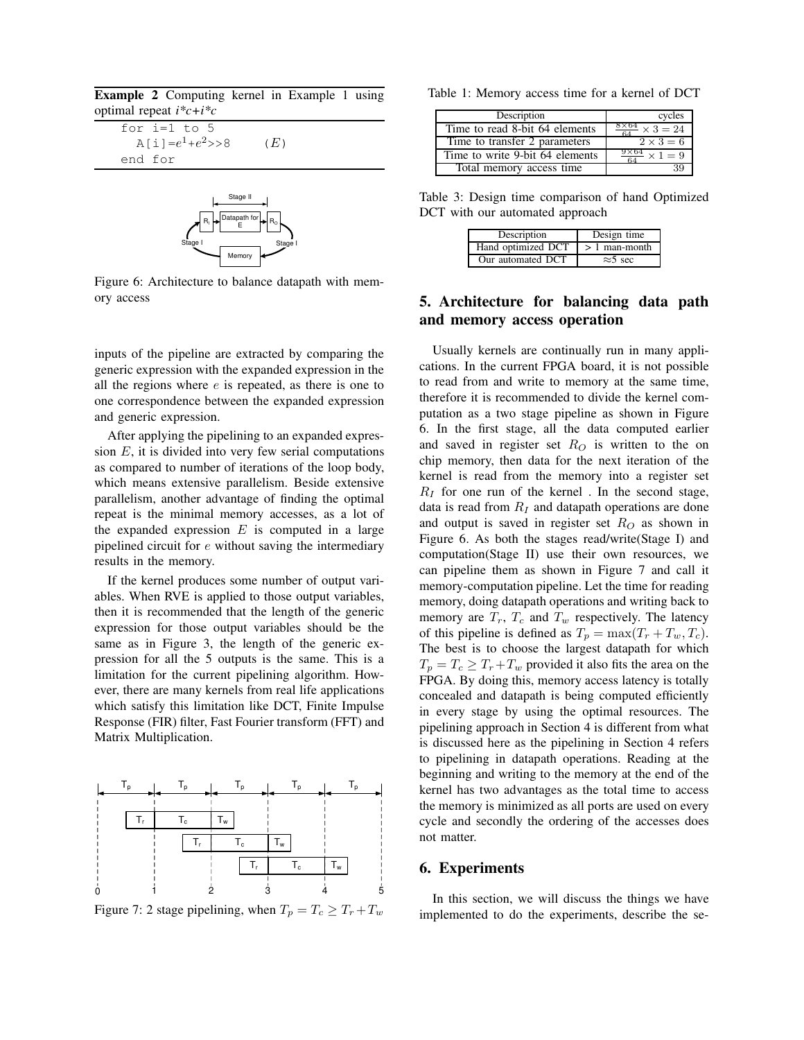**Example 2** Computing kernel in Example 1 using optimal repeat *i\*c+i\*c*

for i=1 to 5  
\n
$$
A[i]=e^1+e^2>>8
$$
 (E)  
\nend for



Figure 6: Architecture to balance datapath with memory access

inputs of the pipeline are extracted by comparing the generic expression with the expanded expression in the all the regions where  $e$  is repeated, as there is one to one correspondence between the expanded expression and generic expression.

After applying the pipelining to an expanded expression  $E$ , it is divided into very few serial computations as compared to number of iterations of the loop body, which means extensive parallelism. Beside extensive parallelism, another advantage of finding the optimal repeat is the minimal memory accesses, as a lot of the expanded expression  $E$  is computed in a large pipelined circuit for  $e$  without saving the intermediary results in the memory.

If the kernel produces some number of output variables. When RVE is applied to those output variables, then it is recommended that the length of the generic expression for those output variables should be the same as in Figure 3, the length of the generic expression for all the 5 outputs is the same. This is a limitation for the current pipelining algorithm. However, there are many kernels from real life applications which satisfy this limitation like DCT, Finite Impulse Response (FIR) filter, Fast Fourier transform (FFT) and Matrix Multiplication.



Figure 7: 2 stage pipelining, when  $T_p = T_c \geq T_r + T_w$ 

Table 1: Memory access time for a kernel of DCT

| Description                     | cycles                                |
|---------------------------------|---------------------------------------|
| Time to read 8-bit 64 elements  | $\frac{8\times 64}{64} \times 3 = 24$ |
| Time to transfer 2 parameters   | $2 \times 3 = 6$                      |
| Time to write 9-bit 64 elements | $\frac{9\times64}{64} \times 1 = 9$   |
| Total memory access time        | 39                                    |

Table 3: Design time comparison of hand Optimized DCT with our automated approach

| Description                        | Design time     |
|------------------------------------|-----------------|
| Hand optimized $DCT$ > 1 man-month |                 |
| Our automated DCT                  | $\approx$ 5 sec |

## **5. Architecture for balancing data path and memory access operation**

Usually kernels are continually run in many applications. In the current FPGA board, it is not possible to read from and write to memory at the same time, therefore it is recommended to divide the kernel computation as a two stage pipeline as shown in Figure 6. In the first stage, all the data computed earlier and saved in register set  $R_O$  is written to the on chip memory, then data for the next iteration of the kernel is read from the memory into a register set  $R_I$  for one run of the kernel. In the second stage, data is read from  $R_I$  and datapath operations are done and output is saved in register set  $R_O$  as shown in Figure 6. As both the stages read/write(Stage I) and computation(Stage II) use their own resources, we can pipeline them as shown in Figure 7 and call it memory-computation pipeline. Let the time for reading memory, doing datapath operations and writing back to memory are  $T_r$ ,  $T_c$  and  $T_w$  respectively. The latency of this pipeline is defined as  $T_p = \max(T_r + T_w, T_c)$ . The best is to choose the largest datapath for which  $T_p = T_c \geq T_r + T_w$  provided it also fits the area on the FPGA. By doing this, memory access latency is totally concealed and datapath is being computed efficiently in every stage by using the optimal resources. The pipelining approach in Section 4 is different from what is discussed here as the pipelining in Section 4 refers to pipelining in datapath operations. Reading at the beginning and writing to the memory at the end of the kernel has two advantages as the total time to access the memory is minimized as all ports are used on every cycle and secondly the ordering of the accesses does not matter.

### **6. Experiments**

In this section, we will discuss the things we have implemented to do the experiments, describe the se-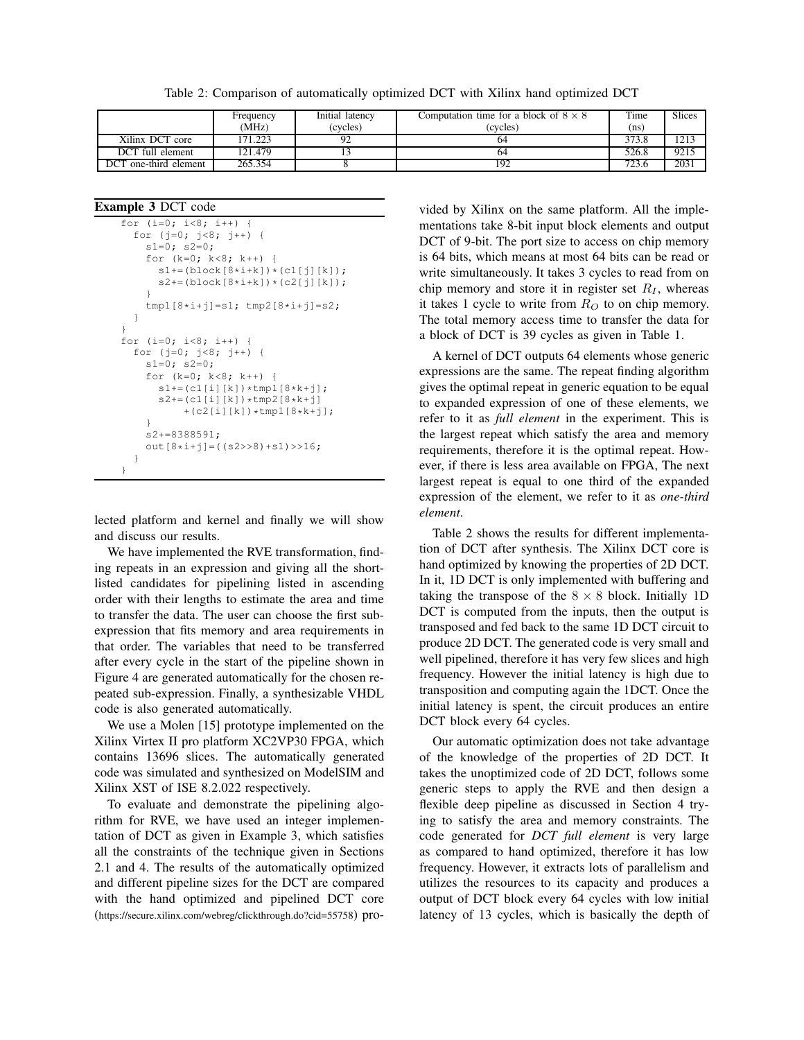Table 2: Comparison of automatically optimized DCT with Xilinx hand optimized DCT

|                       | Frequency | Initial latency | Computation time for a block of $8 \times 8$ | Time              | <b>Slices</b> |
|-----------------------|-----------|-----------------|----------------------------------------------|-------------------|---------------|
|                       | (MHz)     | (cvcles)        | (cycles)                                     | (n <sub>S</sub> ) |               |
| Xilinx DCT core       | 171.223   | 92              | 64                                           | 373.8             | 1213          |
| DCT full element      | 121.479   |                 | 64                                           | 526.8             | 9215          |
| DCT one-third element | 265.354   |                 | 192                                          | 723.6             | 2031          |

**Example 3** DCT code

```
for (i=0; i<8; i++)for (j=0; j<8; j++) {
    s1=0; s2=0;for (k=0; k<8; k++) {
      s1 == (block[8 * i + k]) * (c1[i][k]);
      s2 == (block[8 * i + k]) * (c2[j][k]);}
    tmp1[8+i+j]=s1; tmp2[8+i+j]=s2;}
}
for (i=0; i<8; i++) {
  for (j=0; j<8; j++) {
    s1=0; s2=0;for (k=0; k<8; k++) {
      s1+=(c1[i][k]) *tmp1[8*k+j];s2+=(c1[i][k]) *tmp2[8*k+j]+(c2[i][k]) *tmp1[8*k+j];}
    s2+=8388591;
    out[8+i+j] = ((s2>>8)+s1) >> 16;}
}
```
lected platform and kernel and finally we will show and discuss our results.

We have implemented the RVE transformation, finding repeats in an expression and giving all the shortlisted candidates for pipelining listed in ascending order with their lengths to estimate the area and time to transfer the data. The user can choose the first subexpression that fits memory and area requirements in that order. The variables that need to be transferred after every cycle in the start of the pipeline shown in Figure 4 are generated automatically for the chosen repeated sub-expression. Finally, a synthesizable VHDL code is also generated automatically.

We use a Molen [15] prototype implemented on the Xilinx Virtex II pro platform XC2VP30 FPGA, which contains 13696 slices. The automatically generated code was simulated and synthesized on ModelSIM and Xilinx XST of ISE 8.2.022 respectively.

To evaluate and demonstrate the pipelining algorithm for RVE, we have used an integer implementation of DCT as given in Example 3, which satisfies all the constraints of the technique given in Sections 2.1 and 4. The results of the automatically optimized and different pipeline sizes for the DCT are compared with the hand optimized and pipelined DCT core (https://secure.xilinx.com/webreg/clickthrough.do?cid=55758) provided by Xilinx on the same platform. All the implementations take 8-bit input block elements and output DCT of 9-bit. The port size to access on chip memory is 64 bits, which means at most 64 bits can be read or write simultaneously. It takes 3 cycles to read from on chip memory and store it in register set  $R_I$ , whereas it takes 1 cycle to write from  $R<sub>O</sub>$  to on chip memory. The total memory access time to transfer the data for a block of DCT is 39 cycles as given in Table 1.

A kernel of DCT outputs 64 elements whose generic expressions are the same. The repeat finding algorithm gives the optimal repeat in generic equation to be equal to expanded expression of one of these elements, we refer to it as *full element* in the experiment. This is the largest repeat which satisfy the area and memory requirements, therefore it is the optimal repeat. However, if there is less area available on FPGA, The next largest repeat is equal to one third of the expanded expression of the element, we refer to it as *one-third element*.

Table 2 shows the results for different implementation of DCT after synthesis. The Xilinx DCT core is hand optimized by knowing the properties of 2D DCT. In it, 1D DCT is only implemented with buffering and taking the transpose of the  $8 \times 8$  block. Initially 1D DCT is computed from the inputs, then the output is transposed and fed back to the same 1D DCT circuit to produce 2D DCT. The generated code is very small and well pipelined, therefore it has very few slices and high frequency. However the initial latency is high due to transposition and computing again the 1DCT. Once the initial latency is spent, the circuit produces an entire DCT block every 64 cycles.

Our automatic optimization does not take advantage of the knowledge of the properties of 2D DCT. It takes the unoptimized code of 2D DCT, follows some generic steps to apply the RVE and then design a flexible deep pipeline as discussed in Section 4 trying to satisfy the area and memory constraints. The code generated for *DCT full element* is very large as compared to hand optimized, therefore it has low frequency. However, it extracts lots of parallelism and utilizes the resources to its capacity and produces a output of DCT block every 64 cycles with low initial latency of 13 cycles, which is basically the depth of